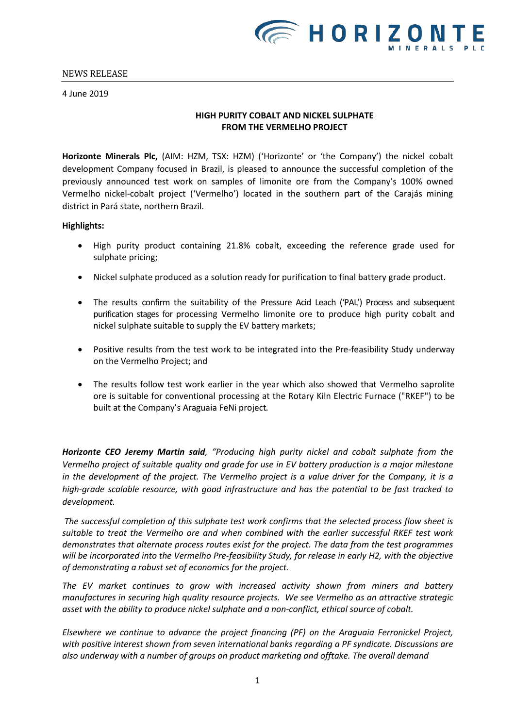4 June 2019

# **HIGH PURITY COBALT AND NICKEL SULPHATE FROM THE VERMELHO PROJECT**

**Horizonte Minerals Plc,** (AIM: HZM, TSX: HZM) ('Horizonte' or 'the Company') the nickel cobalt development Company focused in Brazil, is pleased to announce the successful completion of the previously announced test work on samples of limonite ore from the Company's 100% owned Vermelho nickel-cobalt project ('Vermelho') located in the southern part of the Carajás mining district in Pará state, northern Brazil.

### **Highlights:**

- High purity product containing 21.8% cobalt, exceeding the reference grade used for sulphate pricing;
- Nickel sulphate produced as a solution ready for purification to final battery grade product.
- The results confirm the suitability of the Pressure Acid Leach ('PAL') Process and subsequent purification stages for processing Vermelho limonite ore to produce high purity cobalt and nickel sulphate suitable to supply the EV battery markets;
- Positive results from the test work to be integrated into the Pre-feasibility Study underway on the Vermelho Project; and
- The results follow test work earlier in the year which also showed that Vermelho saprolite ore is suitable for conventional processing at the Rotary Kiln Electric Furnace ("RKEF") to be built at the Company's Araguaia FeNi project.

*Horizonte CEO Jeremy Martin said, "Producing high purity nickel and cobalt sulphate from the Vermelho project of suitable quality and grade for use in EV battery production is a major milestone in the development of the project. The Vermelho project is a value driver for the Company, it is a high-grade scalable resource, with good infrastructure and has the potential to be fast tracked to development.* 

*The successful completion of this sulphate test work confirms that the selected process flow sheet is suitable to treat the Vermelho ore and when combined with the earlier successful RKEF test work demonstrates that alternate process routes exist for the project. The data from the test programmes will be incorporated into the Vermelho Pre-feasibility Study, for release in early H2, with the objective of demonstrating a robust set of economics for the project.*

*The EV market continues to grow with increased activity shown from miners and battery manufactures in securing high quality resource projects. We see Vermelho as an attractive strategic asset with the ability to produce nickel sulphate and a non-conflict, ethical source of cobalt.*

*Elsewhere we continue to advance the project financing (PF) on the Araguaia Ferronickel Project, with positive interest shown from seven international banks regarding a PF syndicate. Discussions are also underway with a number of groups on product marketing and offtake. The overall demand*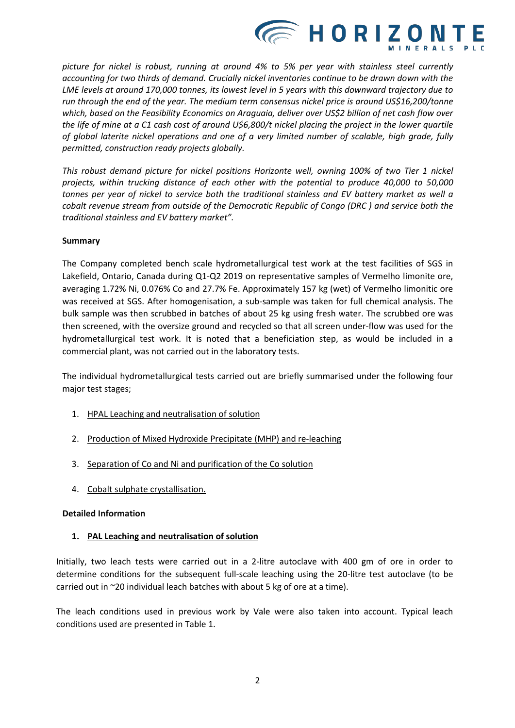

*picture for nickel is robust, running at around 4% to 5% per year with stainless steel currently accounting for two thirds of demand. Crucially nickel inventories continue to be drawn down with the LME levels at around 170,000 tonnes, its lowest level in 5 years with this downward trajectory due to run through the end of the year. The medium term consensus nickel price is around US\$16,200/tonne which, based on the Feasibility Economics on Araguaia, deliver over US\$2 billion of net cash flow over the life of mine at a C1 cash cost of around U\$6,800/t nickel placing the project in the lower quartile of global laterite nickel operations and one of a very limited number of scalable, high grade, fully permitted, construction ready projects globally.*

*This robust demand picture for nickel positions Horizonte well, owning 100% of two Tier 1 nickel projects, within trucking distance of each other with the potential to produce 40,000 to 50,000 tonnes per year of nickel to service both the traditional stainless and EV battery market as well a cobalt revenue stream from outside of the Democratic Republic of Congo (DRC ) and service both the traditional stainless and EV battery market".*

# **Summary**

The Company completed bench scale hydrometallurgical test work at the test facilities of SGS in Lakefield, Ontario, Canada during Q1-Q2 2019 on representative samples of Vermelho limonite ore, averaging 1.72% Ni, 0.076% Co and 27.7% Fe. Approximately 157 kg (wet) of Vermelho limonitic ore was received at SGS. After homogenisation, a sub-sample was taken for full chemical analysis. The bulk sample was then scrubbed in batches of about 25 kg using fresh water. The scrubbed ore was then screened, with the oversize ground and recycled so that all screen under-flow was used for the hydrometallurgical test work. It is noted that a beneficiation step, as would be included in a commercial plant, was not carried out in the laboratory tests.

The individual hydrometallurgical tests carried out are briefly summarised under the following four major test stages;

- 1. HPAL Leaching and neutralisation of solution
- 2. Production of Mixed Hydroxide Precipitate (MHP) and re-leaching
- 3. Separation of Co and Ni and purification of the Co solution
- 4. Cobalt sulphate crystallisation.

## **Detailed Information**

## **1. PAL Leaching and neutralisation of solution**

Initially, two leach tests were carried out in a 2-litre autoclave with 400 gm of ore in order to determine conditions for the subsequent full-scale leaching using the 20-litre test autoclave (to be carried out in ~20 individual leach batches with about 5 kg of ore at a time).

The leach conditions used in previous work by Vale were also taken into account. Typical leach conditions used are presented in Table 1.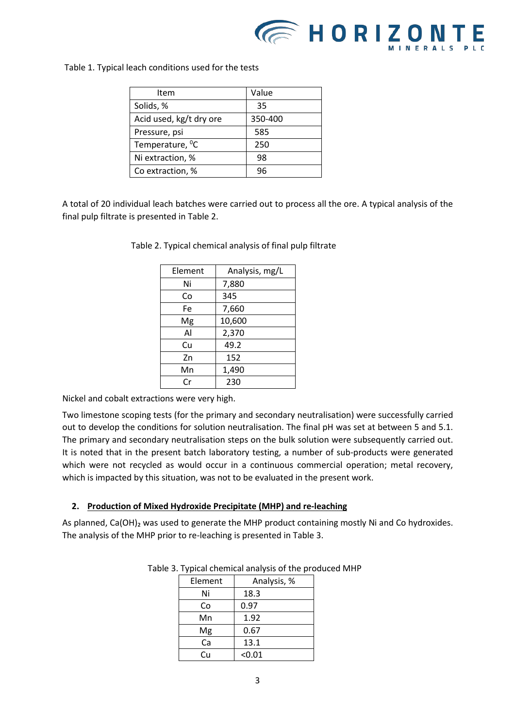

Table 1. Typical leach conditions used for the tests

| Item                        | Value   |
|-----------------------------|---------|
| Solids, %                   | 35      |
| Acid used, kg/t dry ore     | 350-400 |
| Pressure, psi               | 585     |
| Temperature, <sup>0</sup> C | 250     |
| Ni extraction, %            | 98      |
| Co extraction, %            | 96      |

A total of 20 individual leach batches were carried out to process all the ore. A typical analysis of the final pulp filtrate is presented in Table 2.

| Element | Analysis, mg/L |  |  |
|---------|----------------|--|--|
| Ni      | 7,880          |  |  |
| Co      | 345            |  |  |
| Fe      | 7,660          |  |  |
| Mg      | 10,600         |  |  |
| Al      | 2,370          |  |  |
| Cu      | 49.2           |  |  |
| Zn      | 152            |  |  |
| Mn      | 1,490          |  |  |
| Cr      | 230            |  |  |

Table 2. Typical chemical analysis of final pulp filtrate

Nickel and cobalt extractions were very high.

Two limestone scoping tests (for the primary and secondary neutralisation) were successfully carried out to develop the conditions for solution neutralisation. The final pH was set at between 5 and 5.1. The primary and secondary neutralisation steps on the bulk solution were subsequently carried out. It is noted that in the present batch laboratory testing, a number of sub-products were generated which were not recycled as would occur in a continuous commercial operation; metal recovery, which is impacted by this situation, was not to be evaluated in the present work.

## **2. Production of Mixed Hydroxide Precipitate (MHP) and re-leaching**

As planned, Ca(OH)<sub>2</sub> was used to generate the MHP product containing mostly Ni and Co hydroxides. The analysis of the MHP prior to re-leaching is presented in Table 3.

| Element | Analysis, % |  |  |
|---------|-------------|--|--|
| Ni      | 18.3        |  |  |
| Co      | 0.97        |  |  |
| Mn      | 1.92        |  |  |
| Mg      | 0.67        |  |  |
| Ca      | 13.1        |  |  |
| Cп      | < 0.01      |  |  |

| Table 3. Typical chemical analysis of the produced MHP |  |  |  |  |  |
|--------------------------------------------------------|--|--|--|--|--|
|--------------------------------------------------------|--|--|--|--|--|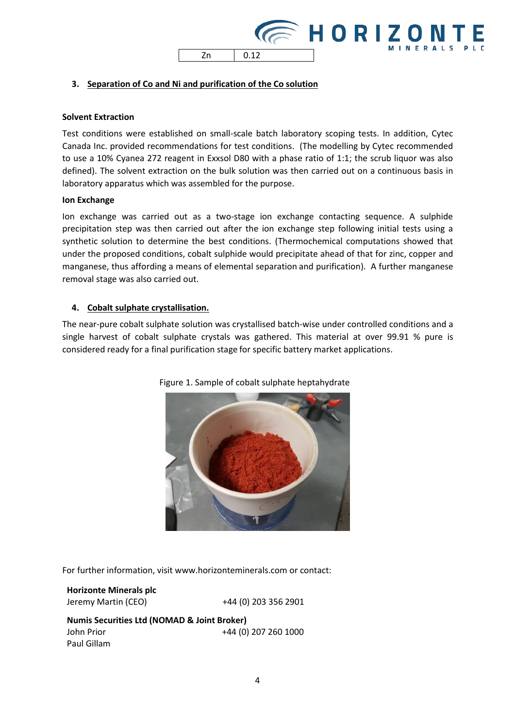

# **3. Separation of Co and Ni and purification of the Co solution**

### **Solvent Extraction**

Test conditions were established on small-scale batch laboratory scoping tests. In addition, Cytec Canada Inc. provided recommendations for test conditions. (The modelling by Cytec recommended to use a 10% Cyanea 272 reagent in Exxsol D80 with a phase ratio of 1:1; the scrub liquor was also defined). The solvent extraction on the bulk solution was then carried out on a continuous basis in laboratory apparatus which was assembled for the purpose.

#### **Ion Exchange**

Ion exchange was carried out as a two-stage ion exchange contacting sequence. A sulphide precipitation step was then carried out after the ion exchange step following initial tests using a synthetic solution to determine the best conditions. (Thermochemical computations showed that under the proposed conditions, cobalt sulphide would precipitate ahead of that for zinc, copper and manganese, thus affording a means of elemental separation and purification). A further manganese removal stage was also carried out.

### **4. Cobalt sulphate crystallisation.**

The near-pure cobalt sulphate solution was crystallised batch-wise under controlled conditions and a single harvest of cobalt sulphate crystals was gathered. This material at over 99.91 % pure is considered ready for a final purification stage for specific battery market applications.



#### Figure 1. Sample of cobalt sulphate heptahydrate

For further information, visit [www.horizonteminerals.com o](http://www.horizonteminerals.com/)r contact:

**Horizonte Minerals plc** Jeremy Martin (CEO) +44 (0) 203 356 2901

**Numis Securities Ltd (NOMAD & Joint Broker)** John Prior +44 (0) 207 260 1000 Paul Gillam